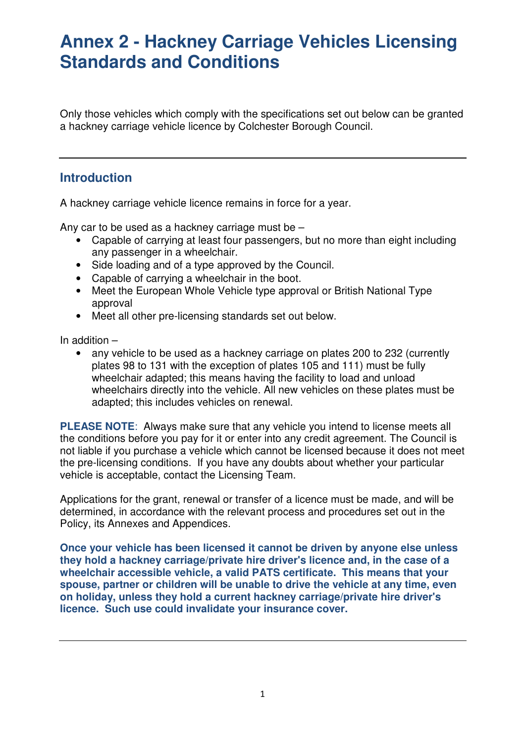Only those vehicles which comply with the specifications set out below can be granted a hackney carriage vehicle licence by Colchester Borough Council.

### **Introduction**

A hackney carriage vehicle licence remains in force for a year.

Any car to be used as a hackney carriage must be –

- Capable of carrying at least four passengers, but no more than eight including any passenger in a wheelchair.
- Side loading and of a type approved by the Council.
- Capable of carrying a wheelchair in the boot.
- Meet the European Whole Vehicle type approval or British National Type approval
- Meet all other pre-licensing standards set out below.

In addition –

• any vehicle to be used as a hackney carriage on plates 200 to 232 (currently plates 98 to 131 with the exception of plates 105 and 111) must be fully wheelchair adapted; this means having the facility to load and unload wheelchairs directly into the vehicle. All new vehicles on these plates must be adapted; this includes vehicles on renewal.

**PLEASE NOTE**: Always make sure that any vehicle you intend to license meets all the conditions before you pay for it or enter into any credit agreement. The Council is not liable if you purchase a vehicle which cannot be licensed because it does not meet the pre-licensing conditions. If you have any doubts about whether your particular vehicle is acceptable, contact the Licensing Team.

Applications for the grant, renewal or transfer of a licence must be made, and will be determined, in accordance with the relevant process and procedures set out in the Policy, its Annexes and Appendices.

**Once your vehicle has been licensed it cannot be driven by anyone else unless they hold a hackney carriage/private hire driver's licence and, in the case of a wheelchair accessible vehicle, a valid PATS certificate. This means that your spouse, partner or children will be unable to drive the vehicle at any time, even on holiday, unless they hold a current hackney carriage/private hire driver's licence. Such use could invalidate your insurance cover.**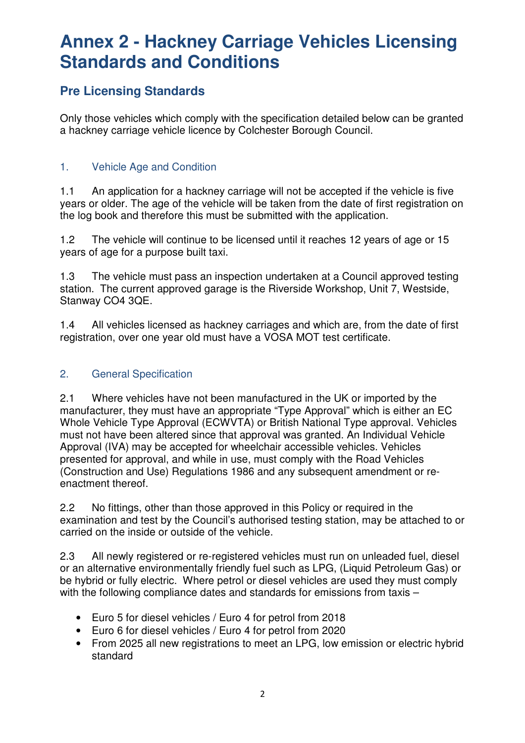### **Pre Licensing Standards**

Only those vehicles which comply with the specification detailed below can be granted a hackney carriage vehicle licence by Colchester Borough Council.

### 1. Vehicle Age and Condition

1.1 An application for a hackney carriage will not be accepted if the vehicle is five years or older. The age of the vehicle will be taken from the date of first registration on the log book and therefore this must be submitted with the application.

1.2 The vehicle will continue to be licensed until it reaches 12 years of age or 15 years of age for a purpose built taxi.

1.3 The vehicle must pass an inspection undertaken at a Council approved testing station. The current approved garage is the Riverside Workshop, Unit 7, Westside, Stanway CO4 3QE.

1.4 All vehicles licensed as hackney carriages and which are, from the date of first registration, over one year old must have a VOSA MOT test certificate.

### 2. General Specification

2.1 Where vehicles have not been manufactured in the UK or imported by the manufacturer, they must have an appropriate "Type Approval" which is either an EC Whole Vehicle Type Approval (ECWVTA) or British National Type approval. Vehicles must not have been altered since that approval was granted. An Individual Vehicle Approval (IVA) may be accepted for wheelchair accessible vehicles. Vehicles presented for approval, and while in use, must comply with the Road Vehicles (Construction and Use) Regulations 1986 and any subsequent amendment or reenactment thereof.

2.2 No fittings, other than those approved in this Policy or required in the examination and test by the Council's authorised testing station, may be attached to or carried on the inside or outside of the vehicle.

2.3 All newly registered or re-registered vehicles must run on unleaded fuel, diesel or an alternative environmentally friendly fuel such as LPG, (Liquid Petroleum Gas) or be hybrid or fully electric. Where petrol or diesel vehicles are used they must comply with the following compliance dates and standards for emissions from taxis -

- Euro 5 for diesel vehicles / Euro 4 for petrol from 2018
- Euro 6 for diesel vehicles / Euro 4 for petrol from 2020
- From 2025 all new registrations to meet an LPG, low emission or electric hybrid standard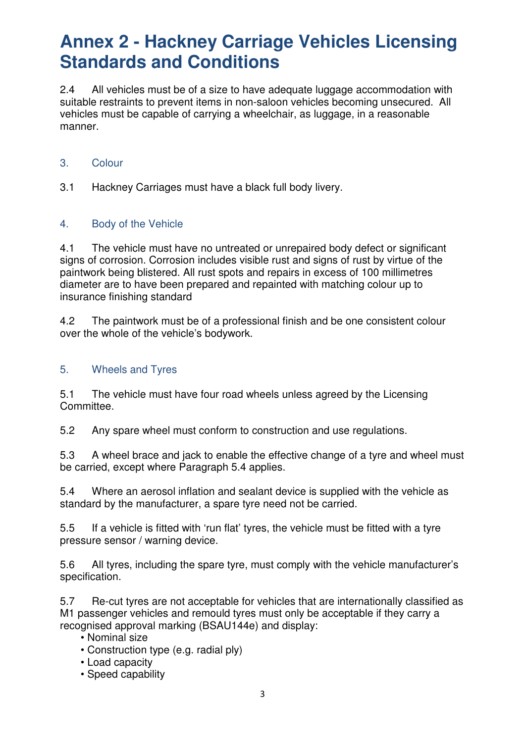2.4 All vehicles must be of a size to have adequate luggage accommodation with suitable restraints to prevent items in non-saloon vehicles becoming unsecured. All vehicles must be capable of carrying a wheelchair, as luggage, in a reasonable manner.

### 3. Colour

3.1 Hackney Carriages must have a black full body livery.

### 4. Body of the Vehicle

4.1 The vehicle must have no untreated or unrepaired body defect or significant signs of corrosion. Corrosion includes visible rust and signs of rust by virtue of the paintwork being blistered. All rust spots and repairs in excess of 100 millimetres diameter are to have been prepared and repainted with matching colour up to insurance finishing standard

4.2 The paintwork must be of a professional finish and be one consistent colour over the whole of the vehicle's bodywork.

### 5. Wheels and Tyres

5.1 The vehicle must have four road wheels unless agreed by the Licensing Committee.

5.2 Any spare wheel must conform to construction and use regulations.

5.3 A wheel brace and jack to enable the effective change of a tyre and wheel must be carried, except where Paragraph 5.4 applies.

5.4 Where an aerosol inflation and sealant device is supplied with the vehicle as standard by the manufacturer, a spare tyre need not be carried.

5.5 If a vehicle is fitted with 'run flat' tyres, the vehicle must be fitted with a tyre pressure sensor / warning device.

5.6 All tyres, including the spare tyre, must comply with the vehicle manufacturer's specification.

5.7 Re-cut tyres are not acceptable for vehicles that are internationally classified as M1 passenger vehicles and remould tyres must only be acceptable if they carry a recognised approval marking (BSAU144e) and display:

- Nominal size
- Construction type (e.g. radial ply)
- Load capacity
- Speed capability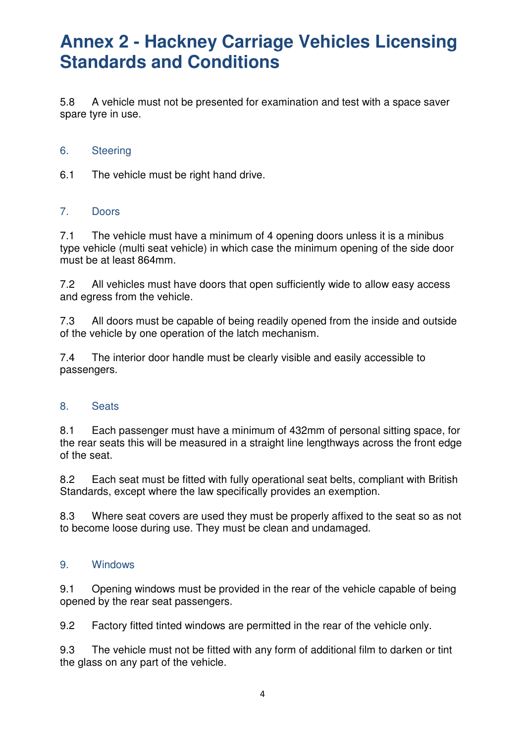5.8 A vehicle must not be presented for examination and test with a space saver spare tyre in use.

#### 6. Steering

6.1 The vehicle must be right hand drive.

### 7. Doors

7.1 The vehicle must have a minimum of 4 opening doors unless it is a minibus type vehicle (multi seat vehicle) in which case the minimum opening of the side door must be at least 864mm.

7.2 All vehicles must have doors that open sufficiently wide to allow easy access and egress from the vehicle.

7.3 All doors must be capable of being readily opened from the inside and outside of the vehicle by one operation of the latch mechanism.

7.4 The interior door handle must be clearly visible and easily accessible to passengers.

#### 8. Seats

8.1 Each passenger must have a minimum of 432mm of personal sitting space, for the rear seats this will be measured in a straight line lengthways across the front edge of the seat.

8.2 Each seat must be fitted with fully operational seat belts, compliant with British Standards, except where the law specifically provides an exemption.

8.3 Where seat covers are used they must be properly affixed to the seat so as not to become loose during use. They must be clean and undamaged.

#### 9. Windows

9.1 Opening windows must be provided in the rear of the vehicle capable of being opened by the rear seat passengers.

9.2 Factory fitted tinted windows are permitted in the rear of the vehicle only.

9.3 The vehicle must not be fitted with any form of additional film to darken or tint the glass on any part of the vehicle.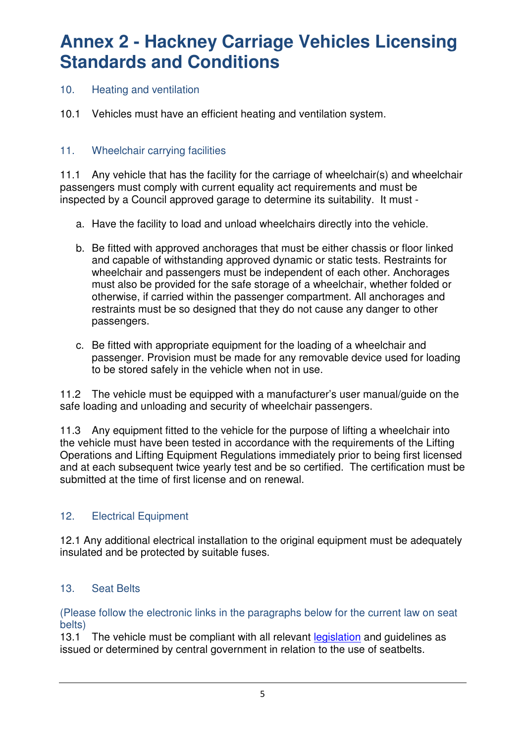### 10. Heating and ventilation

10.1 Vehicles must have an efficient heating and ventilation system.

### 11. Wheelchair carrying facilities

11.1 Any vehicle that has the facility for the carriage of wheelchair(s) and wheelchair passengers must comply with current equality act requirements and must be inspected by a Council approved garage to determine its suitability. It must -

- a. Have the facility to load and unload wheelchairs directly into the vehicle.
- b. Be fitted with approved anchorages that must be either chassis or floor linked and capable of withstanding approved dynamic or static tests. Restraints for wheelchair and passengers must be independent of each other. Anchorages must also be provided for the safe storage of a wheelchair, whether folded or otherwise, if carried within the passenger compartment. All anchorages and restraints must be so designed that they do not cause any danger to other passengers.
- c. Be fitted with appropriate equipment for the loading of a wheelchair and passenger. Provision must be made for any removable device used for loading to be stored safely in the vehicle when not in use.

11.2 The vehicle must be equipped with a manufacturer's user manual/guide on the safe loading and unloading and security of wheelchair passengers.

11.3 Any equipment fitted to the vehicle for the purpose of lifting a wheelchair into the vehicle must have been tested in accordance with the requirements of the Lifting Operations and Lifting Equipment Regulations immediately prior to being first licensed and at each subsequent twice yearly test and be so certified. The certification must be submitted at the time of first license and on renewal.

### 12. Electrical Equipment

12.1 Any additional electrical installation to the original equipment must be adequately insulated and be protected by suitable fuses.

### 13. Seat Belts

(Please follow the electronic links in the paragraphs below for the current law on seat belts)

13.1 The vehicle must be compliant with all relevant legislation and quidelines as issued or determined by central government in relation to the use of seatbelts.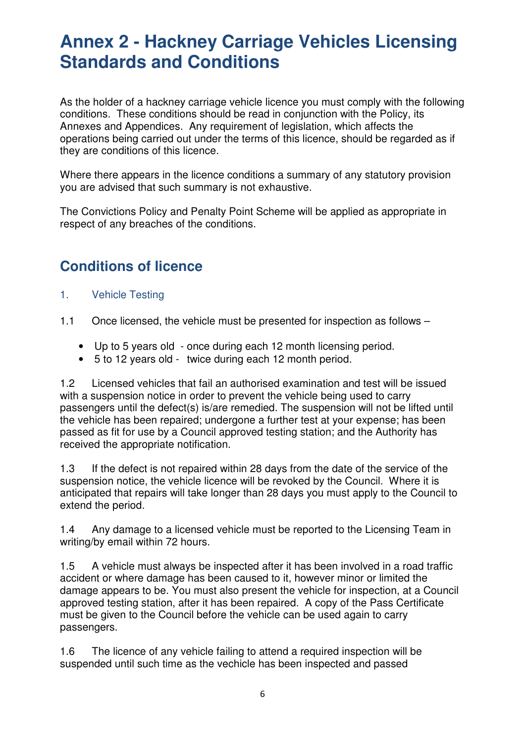As the holder of a hackney carriage vehicle licence you must comply with the following conditions. These conditions should be read in conjunction with the Policy, its Annexes and Appendices. Any requirement of legislation, which affects the operations being carried out under the terms of this licence, should be regarded as if they are conditions of this licence.

Where there appears in the licence conditions a summary of any statutory provision you are advised that such summary is not exhaustive.

The Convictions Policy and Penalty Point Scheme will be applied as appropriate in respect of any breaches of the conditions.

### **Conditions of licence**

- 1. Vehicle Testing
- 1.1 Once licensed, the vehicle must be presented for inspection as follows
	- Up to 5 years old once during each 12 month licensing period.
	- 5 to 12 years old twice during each 12 month period.

1.2 Licensed vehicles that fail an authorised examination and test will be issued with a suspension notice in order to prevent the vehicle being used to carry passengers until the defect(s) is/are remedied. The suspension will not be lifted until the vehicle has been repaired; undergone a further test at your expense; has been passed as fit for use by a Council approved testing station; and the Authority has received the appropriate notification.

1.3 If the defect is not repaired within 28 days from the date of the service of the suspension notice, the vehicle licence will be revoked by the Council. Where it is anticipated that repairs will take longer than 28 days you must apply to the Council to extend the period.

1.4 Any damage to a licensed vehicle must be reported to the Licensing Team in writing/by email within 72 hours.

1.5 A vehicle must always be inspected after it has been involved in a road traffic accident or where damage has been caused to it, however minor or limited the damage appears to be. You must also present the vehicle for inspection, at a Council approved testing station, after it has been repaired. A copy of the Pass Certificate must be given to the Council before the vehicle can be used again to carry passengers.

1.6 The licence of any vehicle failing to attend a required inspection will be suspended until such time as the vechicle has been inspected and passed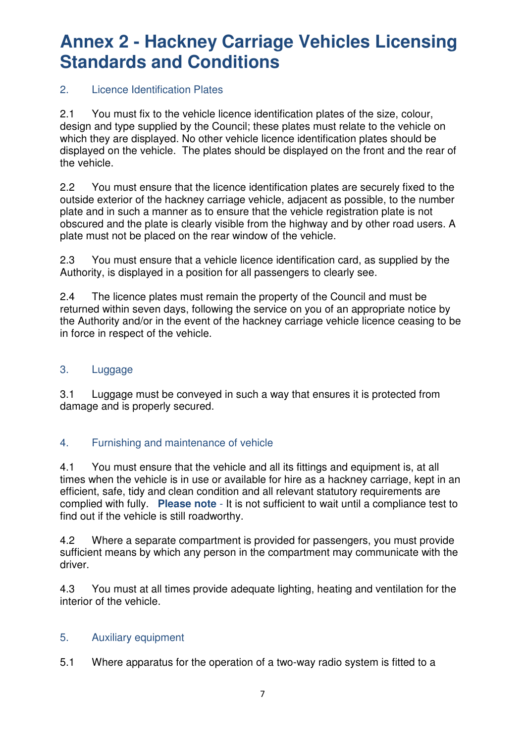### 2. Licence Identification Plates

2.1 You must fix to the vehicle licence identification plates of the size, colour, design and type supplied by the Council; these plates must relate to the vehicle on which they are displayed. No other vehicle licence identification plates should be displayed on the vehicle. The plates should be displayed on the front and the rear of the vehicle.

2.2 You must ensure that the licence identification plates are securely fixed to the outside exterior of the hackney carriage vehicle, adjacent as possible, to the number plate and in such a manner as to ensure that the vehicle registration plate is not obscured and the plate is clearly visible from the highway and by other road users. A plate must not be placed on the rear window of the vehicle.

2.3 You must ensure that a vehicle licence identification card, as supplied by the Authority, is displayed in a position for all passengers to clearly see.

2.4 The licence plates must remain the property of the Council and must be returned within seven days, following the service on you of an appropriate notice by the Authority and/or in the event of the hackney carriage vehicle licence ceasing to be in force in respect of the vehicle.

### 3. Luggage

3.1 Luggage must be conveyed in such a way that ensures it is protected from damage and is properly secured.

### 4. Furnishing and maintenance of vehicle

4.1 You must ensure that the vehicle and all its fittings and equipment is, at all times when the vehicle is in use or available for hire as a hackney carriage, kept in an efficient, safe, tidy and clean condition and all relevant statutory requirements are complied with fully. **Please note** - It is not sufficient to wait until a compliance test to find out if the vehicle is still roadworthy.

4.2 Where a separate compartment is provided for passengers, you must provide sufficient means by which any person in the compartment may communicate with the driver.

4.3 You must at all times provide adequate lighting, heating and ventilation for the interior of the vehicle.

### 5. Auxiliary equipment

5.1 Where apparatus for the operation of a two-way radio system is fitted to a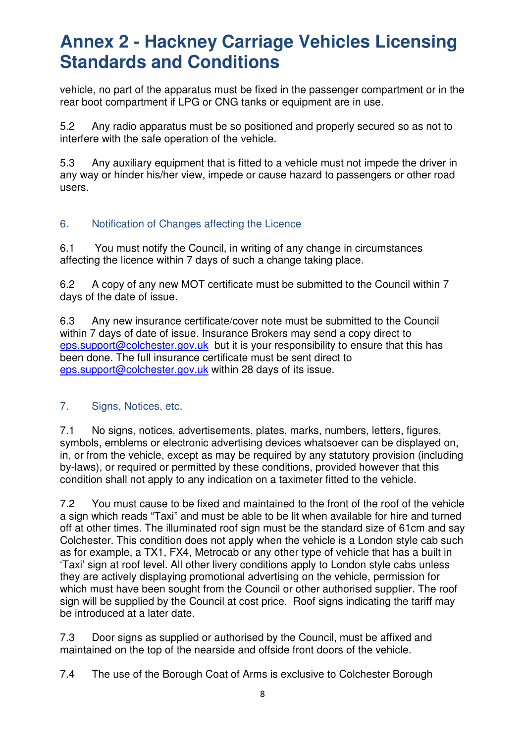vehicle, no part of the apparatus must be fixed in the passenger compartment or in the rear boot compartment if LPG or CNG tanks or equipment are in use.

5.2 Any radio apparatus must be so positioned and properly secured so as not to interfere with the safe operation of the vehicle.

5.3 Any auxiliary equipment that is fitted to a vehicle must not impede the driver in any way or hinder his/her view, impede or cause hazard to passengers or other road users.

### 6. Notification of Changes affecting the Licence

6.1 You must notify the Council, in writing of any change in circumstances affecting the licence within 7 days of such a change taking place.

6.2 A copy of any new MOT certificate must be submitted to the Council within 7 days of the date of issue.

6.3 Any new insurance certificate/cover note must be submitted to the Council within 7 days of date of issue. Insurance Brokers may send a copy direct to eps.support@colchester.gov.uk but it is your responsibility to ensure that this has been done. The full insurance certificate must be sent direct to eps.support@colchester.gov.uk within 28 days of its issue.

#### 7. Signs, Notices, etc.

7.1 No signs, notices, advertisements, plates, marks, numbers, letters, figures, symbols, emblems or electronic advertising devices whatsoever can be displayed on, in, or from the vehicle, except as may be required by any statutory provision (including by-laws), or required or permitted by these conditions, provided however that this condition shall not apply to any indication on a taximeter fitted to the vehicle.

7.2 You must cause to be fixed and maintained to the front of the roof of the vehicle a sign which reads "Taxi" and must be able to be lit when available for hire and turned off at other times. The illuminated roof sign must be the standard size of 61cm and say Colchester. This condition does not apply when the vehicle is a London style cab such as for example, a TX1, FX4, Metrocab or any other type of vehicle that has a built in 'Taxi' sign at roof level. All other livery conditions apply to London style cabs unless they are actively displaying promotional advertising on the vehicle, permission for which must have been sought from the Council or other authorised supplier. The roof sign will be supplied by the Council at cost price. Roof signs indicating the tariff may be introduced at a later date.

7.3 Door signs as supplied or authorised by the Council, must be affixed and maintained on the top of the nearside and offside front doors of the vehicle.

7.4 The use of the Borough Coat of Arms is exclusive to Colchester Borough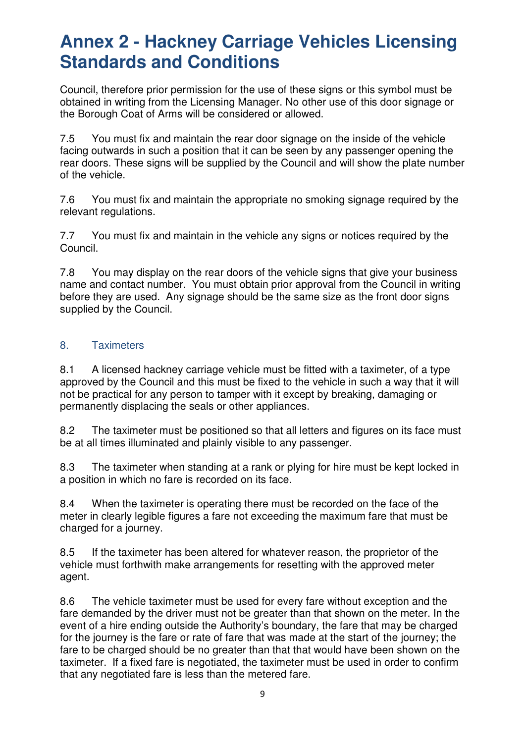Council, therefore prior permission for the use of these signs or this symbol must be obtained in writing from the Licensing Manager. No other use of this door signage or the Borough Coat of Arms will be considered or allowed.

7.5 You must fix and maintain the rear door signage on the inside of the vehicle facing outwards in such a position that it can be seen by any passenger opening the rear doors. These signs will be supplied by the Council and will show the plate number of the vehicle.

7.6 You must fix and maintain the appropriate no smoking signage required by the relevant regulations.

7.7 You must fix and maintain in the vehicle any signs or notices required by the Council.

7.8 You may display on the rear doors of the vehicle signs that give your business name and contact number. You must obtain prior approval from the Council in writing before they are used. Any signage should be the same size as the front door signs supplied by the Council.

#### 8. Taximeters

8.1 A licensed hackney carriage vehicle must be fitted with a taximeter, of a type approved by the Council and this must be fixed to the vehicle in such a way that it will not be practical for any person to tamper with it except by breaking, damaging or permanently displacing the seals or other appliances.

8.2 The taximeter must be positioned so that all letters and figures on its face must be at all times illuminated and plainly visible to any passenger.

8.3 The taximeter when standing at a rank or plying for hire must be kept locked in a position in which no fare is recorded on its face.

8.4 When the taximeter is operating there must be recorded on the face of the meter in clearly legible figures a fare not exceeding the maximum fare that must be charged for a journey.

8.5 If the taximeter has been altered for whatever reason, the proprietor of the vehicle must forthwith make arrangements for resetting with the approved meter agent.

8.6 The vehicle taximeter must be used for every fare without exception and the fare demanded by the driver must not be greater than that shown on the meter. In the event of a hire ending outside the Authority's boundary, the fare that may be charged for the journey is the fare or rate of fare that was made at the start of the journey; the fare to be charged should be no greater than that that would have been shown on the taximeter. If a fixed fare is negotiated, the taximeter must be used in order to confirm that any negotiated fare is less than the metered fare.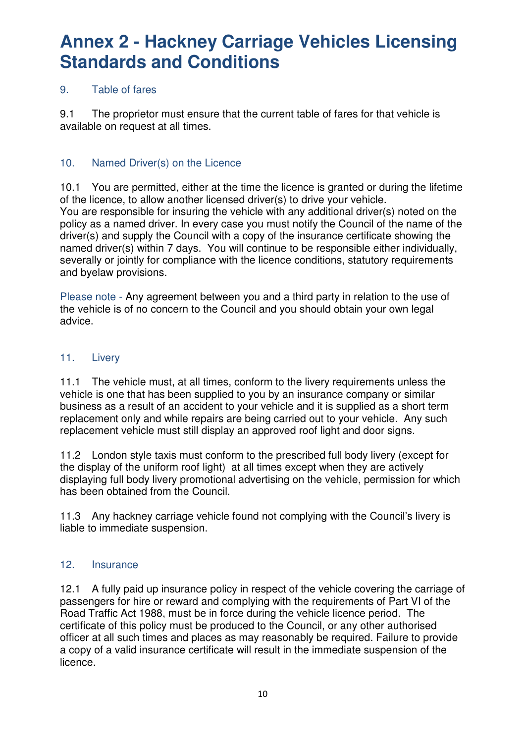### 9. Table of fares

9.1 The proprietor must ensure that the current table of fares for that vehicle is available on request at all times.

### 10. Named Driver(s) on the Licence

10.1 You are permitted, either at the time the licence is granted or during the lifetime of the licence, to allow another licensed driver(s) to drive your vehicle. You are responsible for insuring the vehicle with any additional driver(s) noted on the policy as a named driver. In every case you must notify the Council of the name of the driver(s) and supply the Council with a copy of the insurance certificate showing the named driver(s) within 7 days. You will continue to be responsible either individually, severally or jointly for compliance with the licence conditions, statutory requirements and byelaw provisions.

Please note - Any agreement between you and a third party in relation to the use of the vehicle is of no concern to the Council and you should obtain your own legal advice.

#### 11. Livery

11.1 The vehicle must, at all times, conform to the livery requirements unless the vehicle is one that has been supplied to you by an insurance company or similar business as a result of an accident to your vehicle and it is supplied as a short term replacement only and while repairs are being carried out to your vehicle. Any such replacement vehicle must still display an approved roof light and door signs.

11.2 London style taxis must conform to the prescribed full body livery (except for the display of the uniform roof light) at all times except when they are actively displaying full body livery promotional advertising on the vehicle, permission for which has been obtained from the Council.

11.3 Any hackney carriage vehicle found not complying with the Council's livery is liable to immediate suspension.

#### 12. Insurance

12.1 A fully paid up insurance policy in respect of the vehicle covering the carriage of passengers for hire or reward and complying with the requirements of Part VI of the Road Traffic Act 1988, must be in force during the vehicle licence period. The certificate of this policy must be produced to the Council, or any other authorised officer at all such times and places as may reasonably be required. Failure to provide a copy of a valid insurance certificate will result in the immediate suspension of the licence.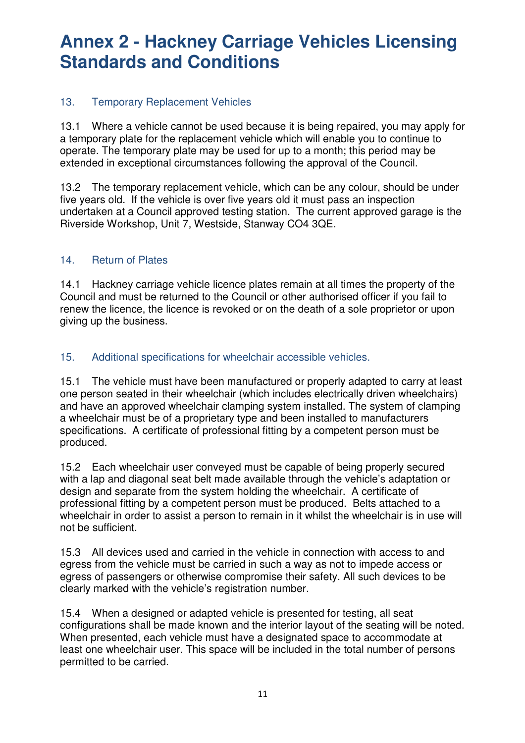### 13. Temporary Replacement Vehicles

13.1 Where a vehicle cannot be used because it is being repaired, you may apply for a temporary plate for the replacement vehicle which will enable you to continue to operate. The temporary plate may be used for up to a month; this period may be extended in exceptional circumstances following the approval of the Council.

13.2 The temporary replacement vehicle, which can be any colour, should be under five years old. If the vehicle is over five years old it must pass an inspection undertaken at a Council approved testing station. The current approved garage is the Riverside Workshop, Unit 7, Westside, Stanway CO4 3QE.

### 14. Return of Plates

14.1 Hackney carriage vehicle licence plates remain at all times the property of the Council and must be returned to the Council or other authorised officer if you fail to renew the licence, the licence is revoked or on the death of a sole proprietor or upon giving up the business.

### 15. Additional specifications for wheelchair accessible vehicles.

15.1 The vehicle must have been manufactured or properly adapted to carry at least one person seated in their wheelchair (which includes electrically driven wheelchairs) and have an approved wheelchair clamping system installed. The system of clamping a wheelchair must be of a proprietary type and been installed to manufacturers specifications. A certificate of professional fitting by a competent person must be produced.

15.2 Each wheelchair user conveyed must be capable of being properly secured with a lap and diagonal seat belt made available through the vehicle's adaptation or design and separate from the system holding the wheelchair. A certificate of professional fitting by a competent person must be produced. Belts attached to a wheelchair in order to assist a person to remain in it whilst the wheelchair is in use will not be sufficient.

15.3 All devices used and carried in the vehicle in connection with access to and egress from the vehicle must be carried in such a way as not to impede access or egress of passengers or otherwise compromise their safety. All such devices to be clearly marked with the vehicle's registration number.

15.4 When a designed or adapted vehicle is presented for testing, all seat configurations shall be made known and the interior layout of the seating will be noted. When presented, each vehicle must have a designated space to accommodate at least one wheelchair user. This space will be included in the total number of persons permitted to be carried.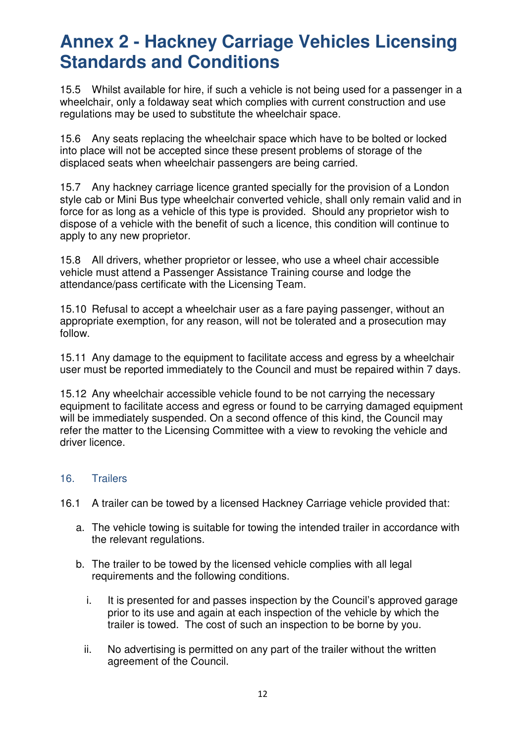15.5 Whilst available for hire, if such a vehicle is not being used for a passenger in a wheelchair, only a foldaway seat which complies with current construction and use regulations may be used to substitute the wheelchair space.

15.6 Any seats replacing the wheelchair space which have to be bolted or locked into place will not be accepted since these present problems of storage of the displaced seats when wheelchair passengers are being carried.

15.7 Any hackney carriage licence granted specially for the provision of a London style cab or Mini Bus type wheelchair converted vehicle, shall only remain valid and in force for as long as a vehicle of this type is provided. Should any proprietor wish to dispose of a vehicle with the benefit of such a licence, this condition will continue to apply to any new proprietor.

15.8 All drivers, whether proprietor or lessee, who use a wheel chair accessible vehicle must attend a Passenger Assistance Training course and lodge the attendance/pass certificate with the Licensing Team.

15.10 Refusal to accept a wheelchair user as a fare paying passenger, without an appropriate exemption, for any reason, will not be tolerated and a prosecution may follow.

15.11 Any damage to the equipment to facilitate access and egress by a wheelchair user must be reported immediately to the Council and must be repaired within 7 days.

15.12 Any wheelchair accessible vehicle found to be not carrying the necessary equipment to facilitate access and egress or found to be carrying damaged equipment will be immediately suspended. On a second offence of this kind, the Council may refer the matter to the Licensing Committee with a view to revoking the vehicle and driver licence.

#### 16. Trailers

- 16.1 A trailer can be towed by a licensed Hackney Carriage vehicle provided that:
	- a. The vehicle towing is suitable for towing the intended trailer in accordance with the relevant regulations.
	- b. The trailer to be towed by the licensed vehicle complies with all legal requirements and the following conditions.
		- i. It is presented for and passes inspection by the Council's approved garage prior to its use and again at each inspection of the vehicle by which the trailer is towed. The cost of such an inspection to be borne by you.
		- ii. No advertising is permitted on any part of the trailer without the written agreement of the Council.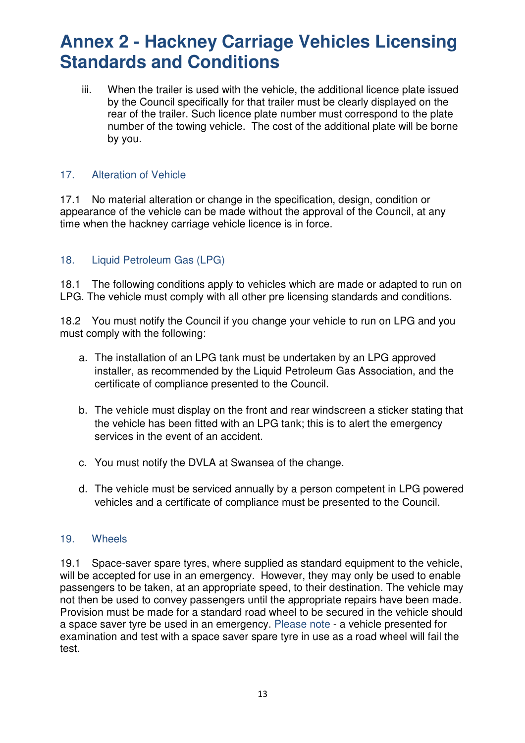iii. When the trailer is used with the vehicle, the additional licence plate issued by the Council specifically for that trailer must be clearly displayed on the rear of the trailer. Such licence plate number must correspond to the plate number of the towing vehicle. The cost of the additional plate will be borne by you.

### 17. Alteration of Vehicle

17.1 No material alteration or change in the specification, design, condition or appearance of the vehicle can be made without the approval of the Council, at any time when the hackney carriage vehicle licence is in force.

### 18. Liquid Petroleum Gas (LPG)

18.1 The following conditions apply to vehicles which are made or adapted to run on LPG. The vehicle must comply with all other pre licensing standards and conditions.

18.2 You must notify the Council if you change your vehicle to run on LPG and you must comply with the following:

- a. The installation of an LPG tank must be undertaken by an LPG approved installer, as recommended by the Liquid Petroleum Gas Association, and the certificate of compliance presented to the Council.
- b. The vehicle must display on the front and rear windscreen a sticker stating that the vehicle has been fitted with an LPG tank; this is to alert the emergency services in the event of an accident.
- c. You must notify the DVLA at Swansea of the change.
- d. The vehicle must be serviced annually by a person competent in LPG powered vehicles and a certificate of compliance must be presented to the Council.

#### 19. Wheels

19.1 Space-saver spare tyres, where supplied as standard equipment to the vehicle, will be accepted for use in an emergency. However, they may only be used to enable passengers to be taken, at an appropriate speed, to their destination. The vehicle may not then be used to convey passengers until the appropriate repairs have been made. Provision must be made for a standard road wheel to be secured in the vehicle should a space saver tyre be used in an emergency. Please note - a vehicle presented for examination and test with a space saver spare tyre in use as a road wheel will fail the test.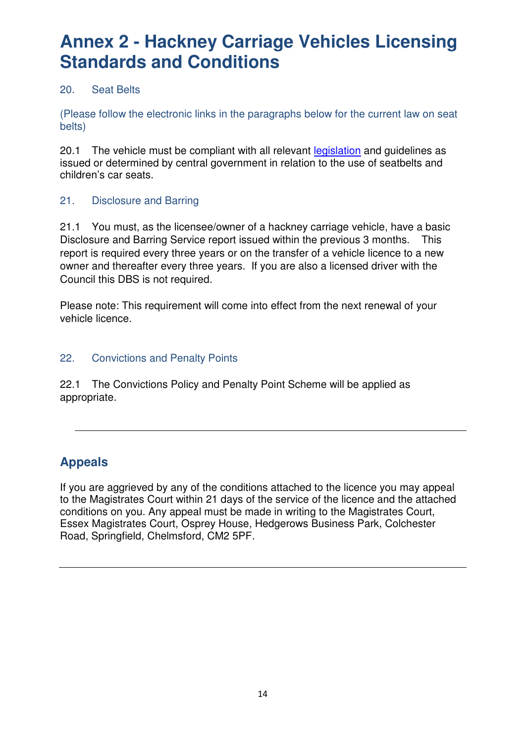### 20. Seat Belts

(Please follow the electronic links in the paragraphs below for the current law on seat belts)

20.1 The vehicle must be compliant with all relevant legislation and quidelines as issued or determined by central government in relation to the use of seatbelts and children's car seats.

### 21. Disclosure and Barring

21.1 You must, as the licensee/owner of a hackney carriage vehicle, have a basic Disclosure and Barring Service report issued within the previous 3 months. This report is required every three years or on the transfer of a vehicle licence to a new owner and thereafter every three years. If you are also a licensed driver with the Council this DBS is not required.

Please note: This requirement will come into effect from the next renewal of your vehicle licence.

### 22. Convictions and Penalty Points

22.1 The Convictions Policy and Penalty Point Scheme will be applied as appropriate.

### **Appeals**

If you are aggrieved by any of the conditions attached to the licence you may appeal to the Magistrates Court within 21 days of the service of the licence and the attached conditions on you. Any appeal must be made in writing to the Magistrates Court, Essex Magistrates Court, Osprey House, Hedgerows Business Park, Colchester Road, Springfield, Chelmsford, CM2 5PF.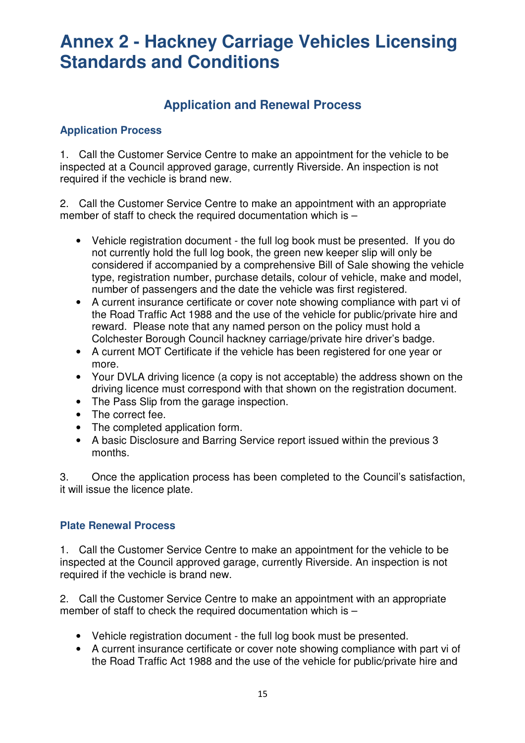### **Application and Renewal Process**

### **Application Process**

1. Call the Customer Service Centre to make an appointment for the vehicle to be inspected at a Council approved garage, currently Riverside. An inspection is not required if the vechicle is brand new.

2. Call the Customer Service Centre to make an appointment with an appropriate member of staff to check the required documentation which is –

- Vehicle registration document the full log book must be presented. If you do not currently hold the full log book, the green new keeper slip will only be considered if accompanied by a comprehensive Bill of Sale showing the vehicle type, registration number, purchase details, colour of vehicle, make and model, number of passengers and the date the vehicle was first registered.
- A current insurance certificate or cover note showing compliance with part vi of the Road Traffic Act 1988 and the use of the vehicle for public/private hire and reward. Please note that any named person on the policy must hold a Colchester Borough Council hackney carriage/private hire driver's badge.
- A current MOT Certificate if the vehicle has been registered for one year or more.
- Your DVLA driving licence (a copy is not acceptable) the address shown on the driving licence must correspond with that shown on the registration document.
- The Pass Slip from the garage inspection.
- The correct fee.
- The completed application form.
- A basic Disclosure and Barring Service report issued within the previous 3 months.

3. Once the application process has been completed to the Council's satisfaction, it will issue the licence plate.

#### **Plate Renewal Process**

1. Call the Customer Service Centre to make an appointment for the vehicle to be inspected at the Council approved garage, currently Riverside. An inspection is not required if the vechicle is brand new.

2. Call the Customer Service Centre to make an appointment with an appropriate member of staff to check the required documentation which is –

- Vehicle registration document the full log book must be presented.
- A current insurance certificate or cover note showing compliance with part vi of the Road Traffic Act 1988 and the use of the vehicle for public/private hire and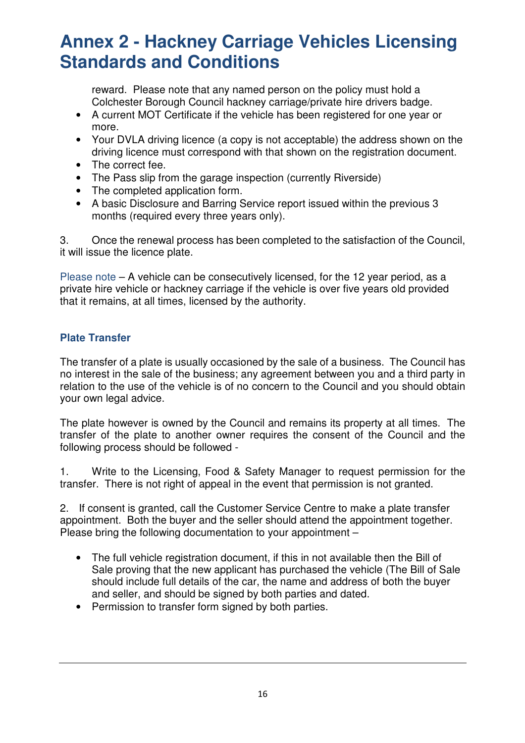reward. Please note that any named person on the policy must hold a Colchester Borough Council hackney carriage/private hire drivers badge.

- A current MOT Certificate if the vehicle has been registered for one vear or more.
- Your DVLA driving licence (a copy is not acceptable) the address shown on the driving licence must correspond with that shown on the registration document.
- The correct fee.
- The Pass slip from the garage inspection (currently Riverside)
- The completed application form.
- A basic Disclosure and Barring Service report issued within the previous 3 months (required every three years only).

3. Once the renewal process has been completed to the satisfaction of the Council, it will issue the licence plate.

Please note  $-A$  vehicle can be consecutively licensed, for the 12 year period, as a private hire vehicle or hackney carriage if the vehicle is over five years old provided that it remains, at all times, licensed by the authority.

### **Plate Transfer**

The transfer of a plate is usually occasioned by the sale of a business. The Council has no interest in the sale of the business; any agreement between you and a third party in relation to the use of the vehicle is of no concern to the Council and you should obtain your own legal advice.

The plate however is owned by the Council and remains its property at all times. The transfer of the plate to another owner requires the consent of the Council and the following process should be followed -

1. Write to the Licensing, Food & Safety Manager to request permission for the transfer. There is not right of appeal in the event that permission is not granted.

2. If consent is granted, call the Customer Service Centre to make a plate transfer appointment. Both the buyer and the seller should attend the appointment together. Please bring the following documentation to your appointment –

- The full vehicle registration document, if this in not available then the Bill of Sale proving that the new applicant has purchased the vehicle (The Bill of Sale should include full details of the car, the name and address of both the buyer and seller, and should be signed by both parties and dated.
- Permission to transfer form signed by both parties.